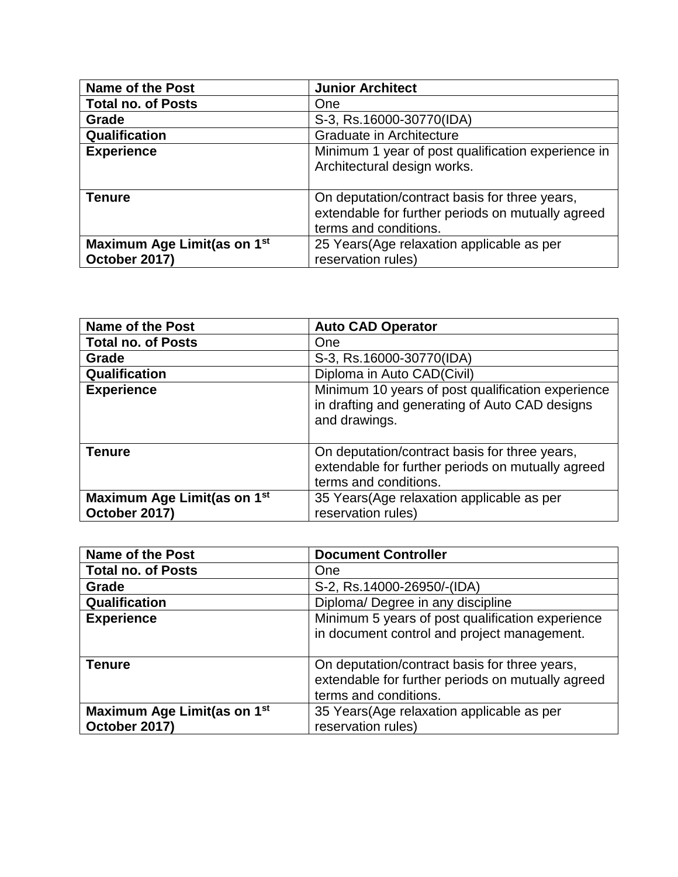| <b>Name of the Post</b>                      | <b>Junior Architect</b>                                                                                                     |
|----------------------------------------------|-----------------------------------------------------------------------------------------------------------------------------|
| <b>Total no. of Posts</b>                    | One                                                                                                                         |
| Grade                                        | S-3, Rs.16000-30770(IDA)                                                                                                    |
| Qualification                                | Graduate in Architecture                                                                                                    |
| <b>Experience</b>                            | Minimum 1 year of post qualification experience in<br>Architectural design works.                                           |
| <b>Tenure</b>                                | On deputation/contract basis for three years,<br>extendable for further periods on mutually agreed<br>terms and conditions. |
| Maximum Age Limit(as on 1st<br>October 2017) | 25 Years (Age relaxation applicable as per<br>reservation rules)                                                            |

| <b>Name of the Post</b>                 | <b>Auto CAD Operator</b>                                                                                                    |
|-----------------------------------------|-----------------------------------------------------------------------------------------------------------------------------|
| <b>Total no. of Posts</b>               | One                                                                                                                         |
| Grade                                   | S-3, Rs.16000-30770(IDA)                                                                                                    |
| Qualification                           | Diploma in Auto CAD(Civil)                                                                                                  |
| <b>Experience</b>                       | Minimum 10 years of post qualification experience<br>in drafting and generating of Auto CAD designs<br>and drawings.        |
| <b>Tenure</b>                           | On deputation/contract basis for three years,<br>extendable for further periods on mutually agreed<br>terms and conditions. |
| Maximum Age Limit(as on 1 <sup>st</sup> | 35 Years (Age relaxation applicable as per                                                                                  |
| October 2017)                           | reservation rules)                                                                                                          |

| <b>Name of the Post</b>                                  | <b>Document Controller</b>                                                                                                  |
|----------------------------------------------------------|-----------------------------------------------------------------------------------------------------------------------------|
| <b>Total no. of Posts</b>                                | One                                                                                                                         |
| Grade                                                    | S-2, Rs.14000-26950/-(IDA)                                                                                                  |
| Qualification                                            | Diploma/Degree in any discipline                                                                                            |
| <b>Experience</b>                                        | Minimum 5 years of post qualification experience<br>in document control and project management.                             |
| <b>Tenure</b>                                            | On deputation/contract basis for three years,<br>extendable for further periods on mutually agreed<br>terms and conditions. |
| Maximum Age Limit(as on 1 <sup>st</sup><br>October 2017) | 35 Years (Age relaxation applicable as per<br>reservation rules)                                                            |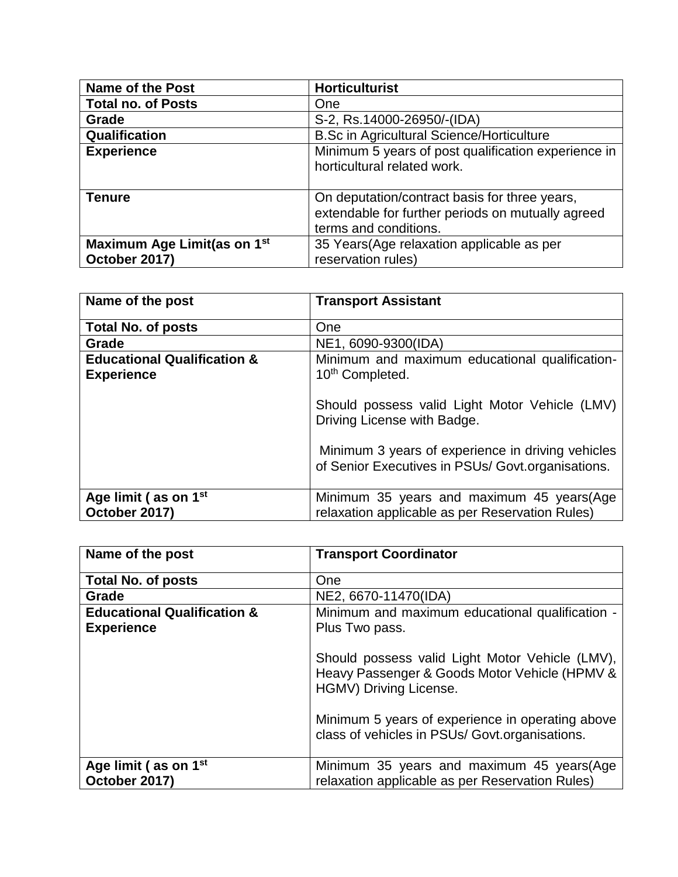| <b>Name of the Post</b>                                  | <b>Horticulturist</b>                                                                                                       |
|----------------------------------------------------------|-----------------------------------------------------------------------------------------------------------------------------|
| <b>Total no. of Posts</b>                                | One                                                                                                                         |
| Grade                                                    | S-2, Rs.14000-26950/-(IDA)                                                                                                  |
| Qualification                                            | <b>B.Sc in Agricultural Science/Horticulture</b>                                                                            |
| <b>Experience</b>                                        | Minimum 5 years of post qualification experience in<br>horticultural related work.                                          |
| <b>Tenure</b>                                            | On deputation/contract basis for three years,<br>extendable for further periods on mutually agreed<br>terms and conditions. |
| Maximum Age Limit(as on 1 <sup>st</sup><br>October 2017) | 35 Years (Age relaxation applicable as per<br>reservation rules)                                                            |

| Name of the post                                            | <b>Transport Assistant</b>                                                                             |
|-------------------------------------------------------------|--------------------------------------------------------------------------------------------------------|
| <b>Total No. of posts</b>                                   | One                                                                                                    |
| Grade                                                       | NE1, 6090-9300(IDA)                                                                                    |
| <b>Educational Qualification &amp;</b><br><b>Experience</b> | Minimum and maximum educational qualification-<br>10 <sup>th</sup> Completed.                          |
|                                                             | Should possess valid Light Motor Vehicle (LMV)<br>Driving License with Badge.                          |
|                                                             | Minimum 3 years of experience in driving vehicles<br>of Senior Executives in PSUs/ Govt.organisations. |
| Age limit (as on 1 <sup>st</sup><br>October 2017)           | Minimum 35 years and maximum 45 years (Age<br>relaxation applicable as per Reservation Rules)          |

| Name of the post                                            | <b>Transport Coordinator</b>                                                                                               |
|-------------------------------------------------------------|----------------------------------------------------------------------------------------------------------------------------|
| <b>Total No. of posts</b>                                   | One                                                                                                                        |
| Grade                                                       | NE2, 6670-11470(IDA)                                                                                                       |
| <b>Educational Qualification &amp;</b><br><b>Experience</b> | Minimum and maximum educational qualification -<br>Plus Two pass.                                                          |
|                                                             | Should possess valid Light Motor Vehicle (LMV),<br>Heavy Passenger & Goods Motor Vehicle (HPMV &<br>HGMV) Driving License. |
|                                                             | Minimum 5 years of experience in operating above<br>class of vehicles in PSUs/ Govt.organisations.                         |
| Age limit (as on 1 <sup>st</sup><br>October 2017)           | Minimum 35 years and maximum 45 years (Age<br>relaxation applicable as per Reservation Rules)                              |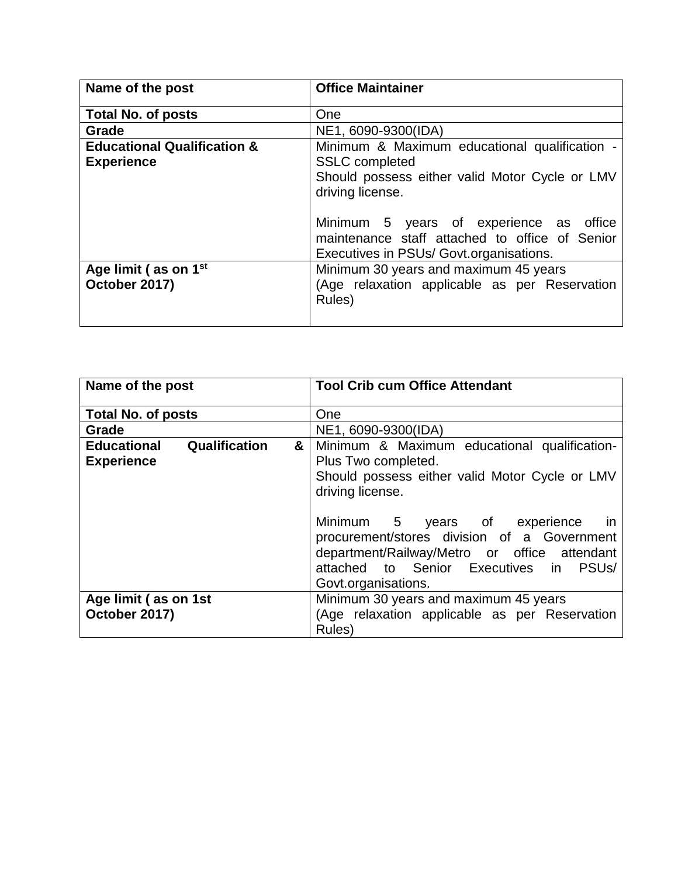| Name of the post                                            | <b>Office Maintainer</b>                                                                                                                                                                                                                                                             |
|-------------------------------------------------------------|--------------------------------------------------------------------------------------------------------------------------------------------------------------------------------------------------------------------------------------------------------------------------------------|
| <b>Total No. of posts</b>                                   | One                                                                                                                                                                                                                                                                                  |
| Grade                                                       | NE1, 6090-9300(IDA)                                                                                                                                                                                                                                                                  |
| <b>Educational Qualification &amp;</b><br><b>Experience</b> | Minimum & Maximum educational qualification -<br><b>SSLC</b> completed<br>Should possess either valid Motor Cycle or LMV<br>driving license.<br>Minimum 5 years of experience as office<br>maintenance staff attached to office of Senior<br>Executives in PSUs/ Govt.organisations. |
| Age limit (as on 1 <sup>st</sup><br>October 2017)           | Minimum 30 years and maximum 45 years<br>(Age relaxation applicable as per Reservation<br>Rules)                                                                                                                                                                                     |

| Name of the post                                       | <b>Tool Crib cum Office Attendant</b>                                                                                                                                                                                                                                                                                                                               |
|--------------------------------------------------------|---------------------------------------------------------------------------------------------------------------------------------------------------------------------------------------------------------------------------------------------------------------------------------------------------------------------------------------------------------------------|
| <b>Total No. of posts</b>                              | One                                                                                                                                                                                                                                                                                                                                                                 |
| Grade                                                  | NE1, 6090-9300(IDA)                                                                                                                                                                                                                                                                                                                                                 |
| Qualification<br>Educational<br>&<br><b>Experience</b> | Minimum & Maximum educational qualification-<br>Plus Two completed.<br>Should possess either valid Motor Cycle or LMV<br>driving license.<br>Minimum 5 years of experience<br>in in<br>procurement/stores division of a Government<br>department/Railway/Metro or office attendant<br>attached to Senior Executives in<br>PSU <sub>s</sub> /<br>Govt.organisations. |
| Age limit (as on 1st<br>October 2017)                  | Minimum 30 years and maximum 45 years<br>(Age relaxation applicable as per Reservation<br>Rules)                                                                                                                                                                                                                                                                    |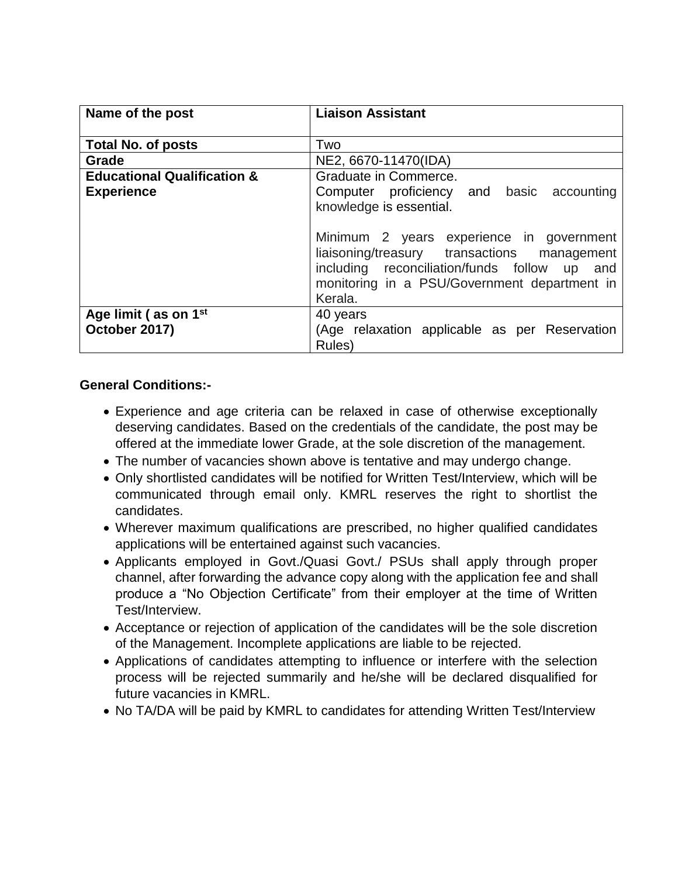| Name of the post                       | <b>Liaison Assistant</b>                      |
|----------------------------------------|-----------------------------------------------|
|                                        |                                               |
| <b>Total No. of posts</b>              | Two                                           |
| Grade                                  | NE2, 6670-11470(IDA)                          |
| <b>Educational Qualification &amp;</b> | Graduate in Commerce.                         |
| <b>Experience</b>                      | Computer proficiency and basic accounting     |
|                                        | knowledge is essential.                       |
|                                        |                                               |
|                                        | Minimum 2 years experience in government      |
|                                        | liaisoning/treasury transactions management   |
|                                        | including reconciliation/funds follow up and  |
|                                        | monitoring in a PSU/Government department in  |
|                                        | Kerala.                                       |
| Age limit (as on 1 <sup>st</sup>       | 40 years                                      |
| October 2017)                          | (Age relaxation applicable as per Reservation |
|                                        | Rules)                                        |

## **General Conditions:-**

- Experience and age criteria can be relaxed in case of otherwise exceptionally deserving candidates. Based on the credentials of the candidate, the post may be offered at the immediate lower Grade, at the sole discretion of the management.
- The number of vacancies shown above is tentative and may undergo change.
- Only shortlisted candidates will be notified for Written Test/Interview, which will be communicated through email only. KMRL reserves the right to shortlist the candidates.
- Wherever maximum qualifications are prescribed, no higher qualified candidates applications will be entertained against such vacancies.
- Applicants employed in Govt./Quasi Govt./ PSUs shall apply through proper channel, after forwarding the advance copy along with the application fee and shall produce a "No Objection Certificate" from their employer at the time of Written Test/Interview.
- Acceptance or rejection of application of the candidates will be the sole discretion of the Management. Incomplete applications are liable to be rejected.
- Applications of candidates attempting to influence or interfere with the selection process will be rejected summarily and he/she will be declared disqualified for future vacancies in KMRL.
- No TA/DA will be paid by KMRL to candidates for attending Written Test/Interview